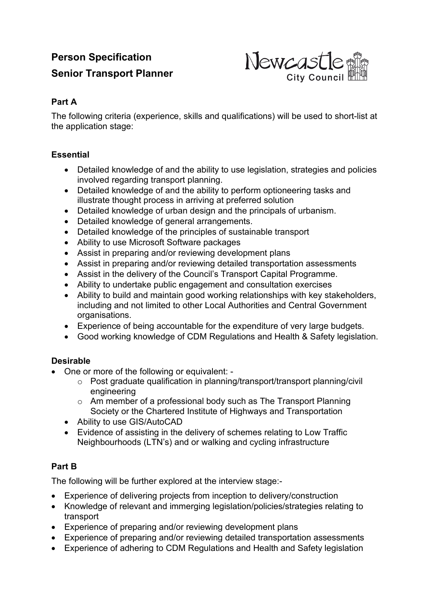# **Person Specification Senior Transport Planner**



### **Part A**

The following criteria (experience, skills and qualifications) will be used to short-list at the application stage:

### **Essential**

- Detailed knowledge of and the ability to use legislation, strategies and policies involved regarding transport planning.
- Detailed knowledge of and the ability to perform optioneering tasks and illustrate thought process in arriving at preferred solution
- Detailed knowledge of urban design and the principals of urbanism.
- Detailed knowledge of general arrangements.
- Detailed knowledge of the principles of sustainable transport
- Ability to use Microsoft Software packages
- Assist in preparing and/or reviewing development plans
- Assist in preparing and/or reviewing detailed transportation assessments
- Assist in the delivery of the Council's Transport Capital Programme.
- Ability to undertake public engagement and consultation exercises
- Ability to build and maintain good working relationships with key stakeholders, including and not limited to other Local Authorities and Central Government organisations.
- Experience of being accountable for the expenditure of very large budgets.
- Good working knowledge of CDM Regulations and Health & Safety legislation.

#### **Desirable**

- One or more of the following or equivalent:
	- o Post graduate qualification in planning/transport/transport planning/civil engineering
	- o Am member of a professional body such as The Transport Planning Society or the Chartered Institute of Highways and Transportation
	- Ability to use GIS/AutoCAD
	- Evidence of assisting in the delivery of schemes relating to Low Traffic Neighbourhoods (LTN's) and or walking and cycling infrastructure

## **Part B**

The following will be further explored at the interview stage:-

- Experience of delivering projects from inception to delivery/construction
- Knowledge of relevant and immerging legislation/policies/strategies relating to transport
- Experience of preparing and/or reviewing development plans
- Experience of preparing and/or reviewing detailed transportation assessments
- Experience of adhering to CDM Regulations and Health and Safety legislation